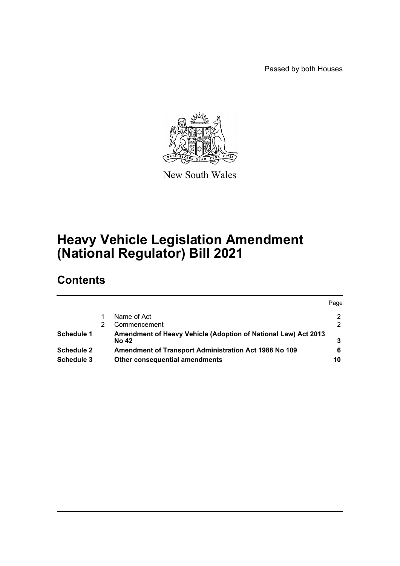Passed by both Houses



New South Wales

# **Heavy Vehicle Legislation Amendment (National Regulator) Bill 2021**

# **Contents**

|                   |                                                                                | Page |
|-------------------|--------------------------------------------------------------------------------|------|
|                   | Name of Act                                                                    | 2    |
|                   | Commencement                                                                   | 2    |
| <b>Schedule 1</b> | Amendment of Heavy Vehicle (Adoption of National Law) Act 2013<br><b>No 42</b> |      |
| <b>Schedule 2</b> | Amendment of Transport Administration Act 1988 No 109                          |      |
| Schedule 3        | Other consequential amendments                                                 | 10   |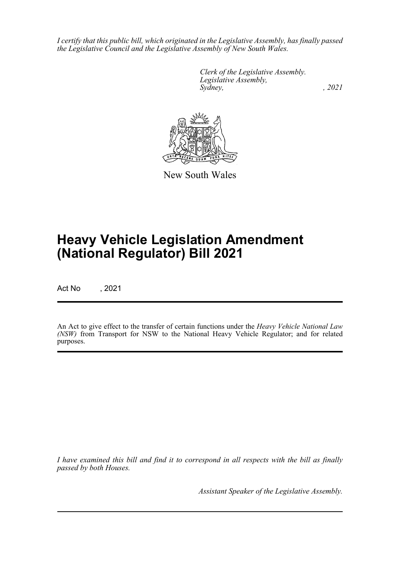*I certify that this public bill, which originated in the Legislative Assembly, has finally passed the Legislative Council and the Legislative Assembly of New South Wales.*

> *Clerk of the Legislative Assembly. Legislative Assembly, Sydney, , 2021*



New South Wales

# **Heavy Vehicle Legislation Amendment (National Regulator) Bill 2021**

Act No , 2021

An Act to give effect to the transfer of certain functions under the *Heavy Vehicle National Law (NSW)* from Transport for NSW to the National Heavy Vehicle Regulator; and for related purposes.

*I have examined this bill and find it to correspond in all respects with the bill as finally passed by both Houses.*

*Assistant Speaker of the Legislative Assembly.*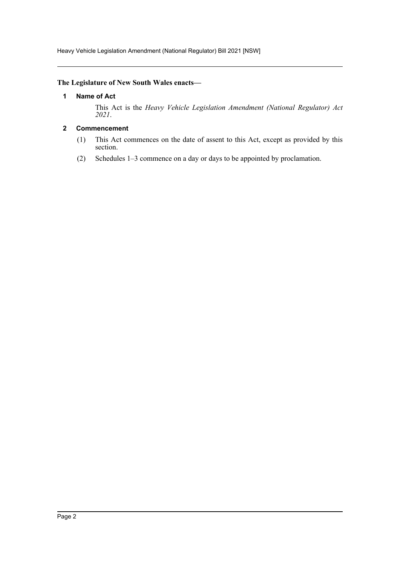Heavy Vehicle Legislation Amendment (National Regulator) Bill 2021 [NSW]

# <span id="page-2-0"></span>**The Legislature of New South Wales enacts—**

# **1 Name of Act**

This Act is the *Heavy Vehicle Legislation Amendment (National Regulator) Act 2021*.

# <span id="page-2-1"></span>**2 Commencement**

- (1) This Act commences on the date of assent to this Act, except as provided by this section.
- (2) Schedules 1–3 commence on a day or days to be appointed by proclamation.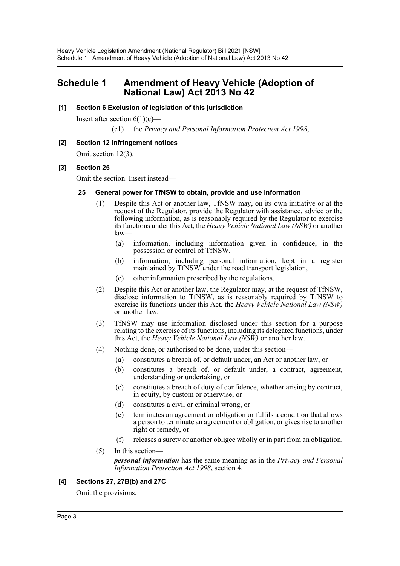# <span id="page-3-0"></span>**Schedule 1 Amendment of Heavy Vehicle (Adoption of National Law) Act 2013 No 42**

# **[1] Section 6 Exclusion of legislation of this jurisdiction**

Insert after section  $6(1)(c)$ —

(c1) the *Privacy and Personal Information Protection Act 1998*,

# **[2] Section 12 Infringement notices**

Omit section 12(3).

# **[3] Section 25**

Omit the section. Insert instead—

### **25 General power for TfNSW to obtain, provide and use information**

- (1) Despite this Act or another law, TfNSW may, on its own initiative or at the request of the Regulator, provide the Regulator with assistance, advice or the following information, as is reasonably required by the Regulator to exercise its functions under this Act, the *Heavy Vehicle National Law (NSW)* or another law—
	- (a) information, including information given in confidence, in the possession or control of TfNSW,
	- (b) information, including personal information, kept in a register maintained by TfNSW under the road transport legislation,
	- (c) other information prescribed by the regulations.
- (2) Despite this Act or another law, the Regulator may, at the request of TfNSW, disclose information to TfNSW, as is reasonably required by TfNSW to exercise its functions under this Act, the *Heavy Vehicle National Law (NSW)* or another law.
- (3) TfNSW may use information disclosed under this section for a purpose relating to the exercise of its functions, including its delegated functions, under this Act, the *Heavy Vehicle National Law (NSW)* or another law.
- (4) Nothing done, or authorised to be done, under this section—
	- (a) constitutes a breach of, or default under, an Act or another law, or
	- (b) constitutes a breach of, or default under, a contract, agreement, understanding or undertaking, or
	- (c) constitutes a breach of duty of confidence, whether arising by contract, in equity, by custom or otherwise, or
	- (d) constitutes a civil or criminal wrong, or
	- (e) terminates an agreement or obligation or fulfils a condition that allows a person to terminate an agreement or obligation, or gives rise to another right or remedy, or
	- (f) releases a surety or another obligee wholly or in part from an obligation.
- (5) In this section—

*personal information* has the same meaning as in the *Privacy and Personal Information Protection Act 1998*, section 4.

### **[4] Sections 27, 27B(b) and 27C**

Omit the provisions.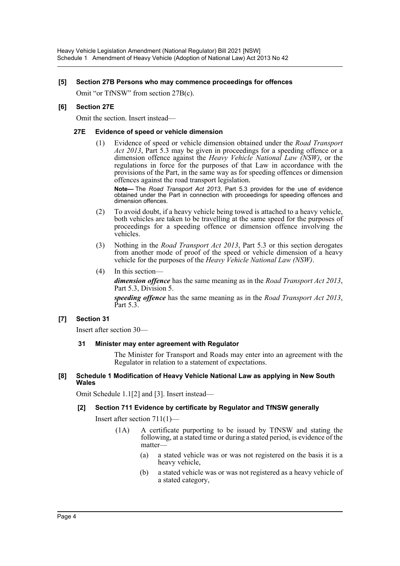### **[5] Section 27B Persons who may commence proceedings for offences**

Omit "or TfNSW" from section 27B(c).

### **[6] Section 27E**

Omit the section. Insert instead—

### **27E Evidence of speed or vehicle dimension**

(1) Evidence of speed or vehicle dimension obtained under the *Road Transport Act 2013*, Part 5.3 may be given in proceedings for a speeding offence or a dimension offence against the *Heavy Vehicle National Law (NSW)*, or the regulations in force for the purposes of that Law in accordance with the provisions of the Part, in the same way as for speeding offences or dimension offences against the road transport legislation.

**Note—** The *Road Transport Act 2013*, Part 5.3 provides for the use of evidence obtained under the Part in connection with proceedings for speeding offences and dimension offences.

- (2) To avoid doubt, if a heavy vehicle being towed is attached to a heavy vehicle, both vehicles are taken to be travelling at the same speed for the purposes of proceedings for a speeding offence or dimension offence involving the vehicles.
- (3) Nothing in the *Road Transport Act 2013*, Part 5.3 or this section derogates from another mode of proof of the speed or vehicle dimension of a heavy vehicle for the purposes of the *Heavy Vehicle National Law (NSW)*.
- (4) In this section—

*dimension offence* has the same meaning as in the *Road Transport Act 2013*, Part 5.3, Division 5.

*speeding offence* has the same meaning as in the *Road Transport Act 2013*, Part 5.3.

### **[7] Section 31**

Insert after section 30—

### **31 Minister may enter agreement with Regulator**

The Minister for Transport and Roads may enter into an agreement with the Regulator in relation to a statement of expectations.

#### **[8] Schedule 1 Modification of Heavy Vehicle National Law as applying in New South Wales**

Omit Schedule 1.1[2] and [3]. Insert instead—

# **[2] Section 711 Evidence by certificate by Regulator and TfNSW generally**

Insert after section 711(1)—

- (1A) A certificate purporting to be issued by TfNSW and stating the following, at a stated time or during a stated period, is evidence of the matter—
	- (a) a stated vehicle was or was not registered on the basis it is a heavy vehicle,
	- (b) a stated vehicle was or was not registered as a heavy vehicle of a stated category,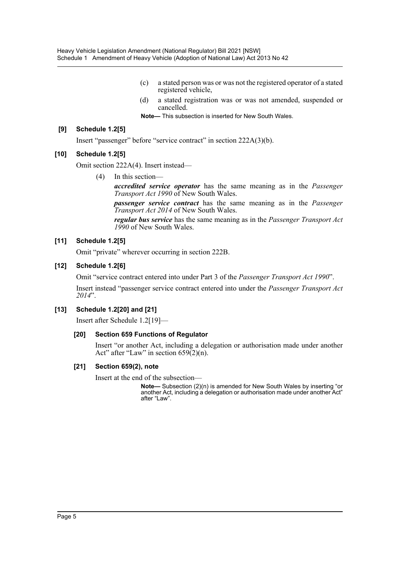- (c) a stated person was or was not the registered operator of a stated registered vehicle,
- (d) a stated registration was or was not amended, suspended or cancelled.

**Note—** This subsection is inserted for New South Wales.

### **[9] Schedule 1.2[5]**

Insert "passenger" before "service contract" in section 222A(3)(b).

# **[10] Schedule 1.2[5]**

Omit section 222A(4). Insert instead—

(4) In this section—

*accredited service operator* has the same meaning as in the *Passenger Transport Act 1990* of New South Wales.

*passenger service contract* has the same meaning as in the *Passenger Transport Act 2014* of New South Wales.

*regular bus service* has the same meaning as in the *Passenger Transport Act 1990* of New South Wales.

# **[11] Schedule 1.2[5]**

Omit "private" wherever occurring in section 222B.

# **[12] Schedule 1.2[6]**

Omit "service contract entered into under Part 3 of the *Passenger Transport Act 1990*".

Insert instead "passenger service contract entered into under the *Passenger Transport Act 2014*".

### **[13] Schedule 1.2[20] and [21]**

Insert after Schedule 1.2[19]—

### **[20] Section 659 Functions of Regulator**

Insert "or another Act, including a delegation or authorisation made under another Act" after "Law" in section  $659(2)(n)$ .

### **[21] Section 659(2), note**

Insert at the end of the subsection—

**Note—** Subsection (2)(n) is amended for New South Wales by inserting "or another Act, including a delegation or authorisation made under another Act" after "Law".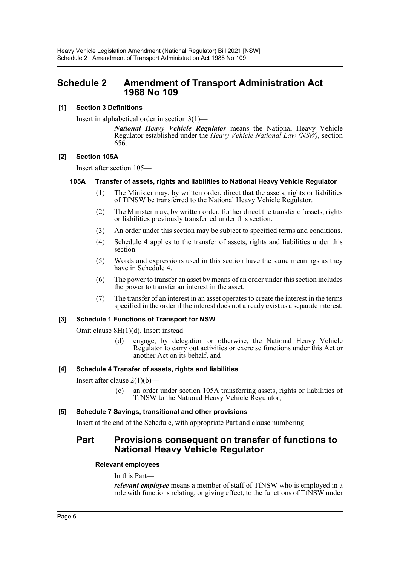# <span id="page-6-0"></span>**Schedule 2 Amendment of Transport Administration Act 1988 No 109**

# **[1] Section 3 Definitions**

Insert in alphabetical order in section 3(1)—

*National Heavy Vehicle Regulator* means the National Heavy Vehicle Regulator established under the *Heavy Vehicle National Law (NSW)*, section 656.

### **[2] Section 105A**

Insert after section 105—

### **105A Transfer of assets, rights and liabilities to National Heavy Vehicle Regulator**

- (1) The Minister may, by written order, direct that the assets, rights or liabilities of TfNSW be transferred to the National Heavy Vehicle Regulator.
- (2) The Minister may, by written order, further direct the transfer of assets, rights or liabilities previously transferred under this section.
- (3) An order under this section may be subject to specified terms and conditions.
- (4) Schedule 4 applies to the transfer of assets, rights and liabilities under this section.
- (5) Words and expressions used in this section have the same meanings as they have in Schedule 4.
- (6) The power to transfer an asset by means of an order under this section includes the power to transfer an interest in the asset.
- (7) The transfer of an interest in an asset operates to create the interest in the terms specified in the order if the interest does not already exist as a separate interest.

### **[3] Schedule 1 Functions of Transport for NSW**

Omit clause 8H(1)(d). Insert instead—

(d) engage, by delegation or otherwise, the National Heavy Vehicle Regulator to carry out activities or exercise functions under this Act or another Act on its behalf, and

### **[4] Schedule 4 Transfer of assets, rights and liabilities**

Insert after clause  $2(1)(b)$ —

(c) an order under section 105A transferring assets, rights or liabilities of TfNSW to the National Heavy Vehicle Regulator,

### **[5] Schedule 7 Savings, transitional and other provisions**

Insert at the end of the Schedule, with appropriate Part and clause numbering—

# **Part Provisions consequent on transfer of functions to National Heavy Vehicle Regulator**

### **Relevant employees**

In this Part—

*relevant employee* means a member of staff of TfNSW who is employed in a role with functions relating, or giving effect, to the functions of TfNSW under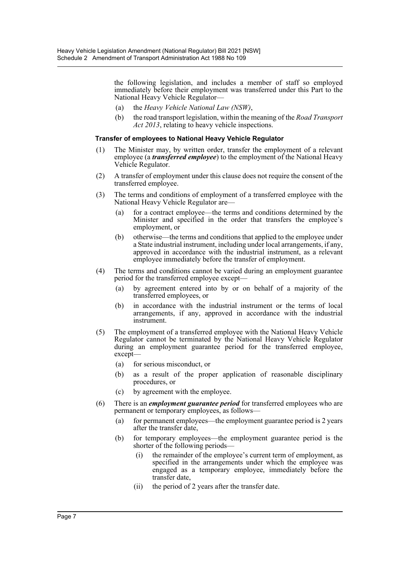the following legislation, and includes a member of staff so employed immediately before their employment was transferred under this Part to the National Heavy Vehicle Regulator—

- (a) the *Heavy Vehicle National Law (NSW)*,
- (b) the road transport legislation, within the meaning of the *Road Transport Act 2013*, relating to heavy vehicle inspections.

#### **Transfer of employees to National Heavy Vehicle Regulator**

- (1) The Minister may, by written order, transfer the employment of a relevant employee (a *transferred employee*) to the employment of the National Heavy Vehicle Regulator.
- (2) A transfer of employment under this clause does not require the consent of the transferred employee.
- (3) The terms and conditions of employment of a transferred employee with the National Heavy Vehicle Regulator are—
	- (a) for a contract employee—the terms and conditions determined by the Minister and specified in the order that transfers the employee's employment, or
	- (b) otherwise—the terms and conditions that applied to the employee under a State industrial instrument, including under local arrangements, if any, approved in accordance with the industrial instrument, as a relevant employee immediately before the transfer of employment.
- (4) The terms and conditions cannot be varied during an employment guarantee period for the transferred employee except—
	- (a) by agreement entered into by or on behalf of a majority of the transferred employees, or
	- (b) in accordance with the industrial instrument or the terms of local arrangements, if any, approved in accordance with the industrial instrument.
- (5) The employment of a transferred employee with the National Heavy Vehicle Regulator cannot be terminated by the National Heavy Vehicle Regulator during an employment guarantee period for the transferred employee, except—
	- (a) for serious misconduct, or
	- (b) as a result of the proper application of reasonable disciplinary procedures, or
	- (c) by agreement with the employee.
- (6) There is an *employment guarantee period* for transferred employees who are permanent or temporary employees, as follows—
	- (a) for permanent employees—the employment guarantee period is 2 years after the transfer date,
	- (b) for temporary employees—the employment guarantee period is the shorter of the following periods—
		- (i) the remainder of the employee's current term of employment, as specified in the arrangements under which the employee was engaged as a temporary employee, immediately before the transfer date,
		- (ii) the period of 2 years after the transfer date.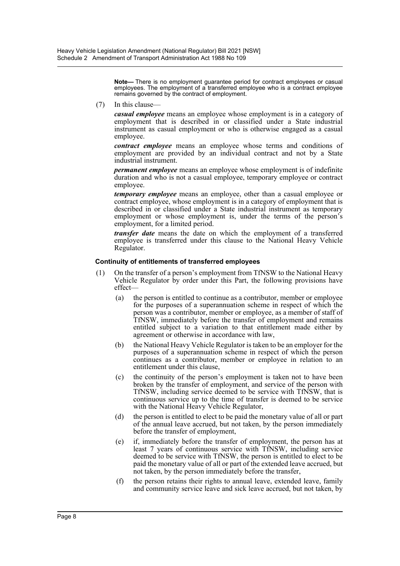**Note—** There is no employment guarantee period for contract employees or casual employees. The employment of a transferred employee who is a contract employee remains governed by the contract of employment.

(7) In this clause—

*casual employee* means an employee whose employment is in a category of employment that is described in or classified under a State industrial instrument as casual employment or who is otherwise engaged as a casual employee.

*contract employee* means an employee whose terms and conditions of employment are provided by an individual contract and not by a State industrial instrument.

*permanent employee* means an employee whose employment is of indefinite duration and who is not a casual employee, temporary employee or contract employee.

*temporary employee* means an employee, other than a casual employee or contract employee, whose employment is in a category of employment that is described in or classified under a State industrial instrument as temporary employment or whose employment is, under the terms of the person's employment, for a limited period.

*transfer date* means the date on which the employment of a transferred employee is transferred under this clause to the National Heavy Vehicle Regulator.

#### **Continuity of entitlements of transferred employees**

- (1) On the transfer of a person's employment from TfNSW to the National Heavy Vehicle Regulator by order under this Part, the following provisions have effect—
	- (a) the person is entitled to continue as a contributor, member or employee for the purposes of a superannuation scheme in respect of which the person was a contributor, member or employee, as a member of staff of TfNSW, immediately before the transfer of employment and remains entitled subject to a variation to that entitlement made either by agreement or otherwise in accordance with law,
	- (b) the National Heavy Vehicle Regulator is taken to be an employer for the purposes of a superannuation scheme in respect of which the person continues as a contributor, member or employee in relation to an entitlement under this clause,
	- (c) the continuity of the person's employment is taken not to have been broken by the transfer of employment, and service of the person with TfNSW, including service deemed to be service with TfNSW, that is continuous service up to the time of transfer is deemed to be service with the National Heavy Vehicle Regulator,
	- (d) the person is entitled to elect to be paid the monetary value of all or part of the annual leave accrued, but not taken, by the person immediately before the transfer of employment,
	- (e) if, immediately before the transfer of employment, the person has at least 7 years of continuous service with TfNSW, including service deemed to be service with TfNSW, the person is entitled to elect to be paid the monetary value of all or part of the extended leave accrued, but not taken, by the person immediately before the transfer,
	- (f) the person retains their rights to annual leave, extended leave, family and community service leave and sick leave accrued, but not taken, by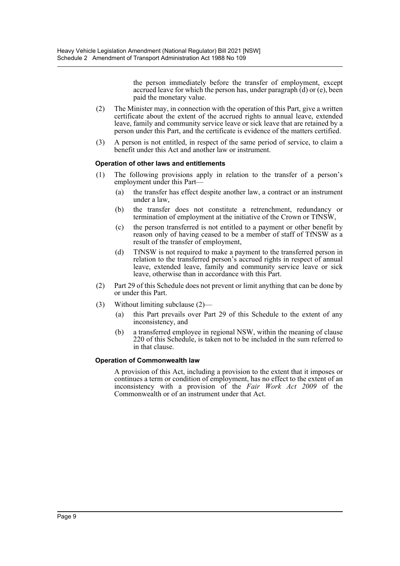the person immediately before the transfer of employment, except accrued leave for which the person has, under paragraph (d) or (e), been paid the monetary value.

- (2) The Minister may, in connection with the operation of this Part, give a written certificate about the extent of the accrued rights to annual leave, extended leave, family and community service leave or sick leave that are retained by a person under this Part, and the certificate is evidence of the matters certified.
- (3) A person is not entitled, in respect of the same period of service, to claim a benefit under this Act and another law or instrument.

# **Operation of other laws and entitlements**

- (1) The following provisions apply in relation to the transfer of a person's employment under this Part—
	- (a) the transfer has effect despite another law, a contract or an instrument under a law,
	- (b) the transfer does not constitute a retrenchment, redundancy or termination of employment at the initiative of the Crown or TfNSW,
	- (c) the person transferred is not entitled to a payment or other benefit by reason only of having ceased to be a member of staff of TfNSW as a result of the transfer of employment,
	- (d) TfNSW is not required to make a payment to the transferred person in relation to the transferred person's accrued rights in respect of annual leave, extended leave, family and community service leave or sick leave, otherwise than in accordance with this Part.
- (2) Part 29 of this Schedule does not prevent or limit anything that can be done by or under this Part.
- (3) Without limiting subclause (2)—
	- (a) this Part prevails over Part 29 of this Schedule to the extent of any inconsistency, and
	- (b) a transferred employee in regional NSW, within the meaning of clause 220 of this Schedule, is taken not to be included in the sum referred to in that clause.

### **Operation of Commonwealth law**

A provision of this Act, including a provision to the extent that it imposes or continues a term or condition of employment, has no effect to the extent of an inconsistency with a provision of the *Fair Work Act 2009* of the Commonwealth or of an instrument under that Act.